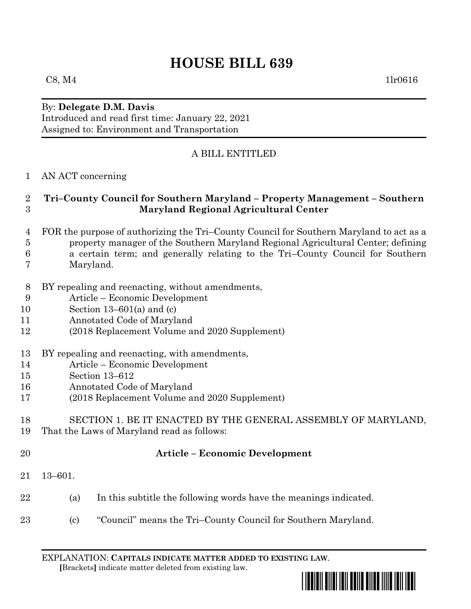# **HOUSE BILL 639**

#### By: **Delegate D.M. Davis** Introduced and read first time: January 22, 2021 Assigned to: Environment and Transportation

## A BILL ENTITLED

#### AN ACT concerning

#### **Tri–County Council for Southern Maryland – Property Management – Southern Maryland Regional Agricultural Center**

- FOR the purpose of authorizing the Tri–County Council for Southern Maryland to act as a property manager of the Southern Maryland Regional Agricultural Center; defining a certain term; and generally relating to the Tri–County Council for Southern
- Maryland.
- BY repealing and reenacting, without amendments,
- Article Economic Development
- Section 13–601(a) and (c)
- Annotated Code of Maryland
- (2018 Replacement Volume and 2020 Supplement)
- BY repealing and reenacting, with amendments,
- Article Economic Development
- Section 13–612
- Annotated Code of Maryland
- (2018 Replacement Volume and 2020 Supplement)

#### SECTION 1. BE IT ENACTED BY THE GENERAL ASSEMBLY OF MARYLAND, That the Laws of Maryland read as follows:

- 
- 

### **Article – Economic Development**

- 13–601.
- (a) In this subtitle the following words have the meanings indicated.
- 23 (c) "Council" means the Tri–County Council for Southern Maryland.

EXPLANATION: **CAPITALS INDICATE MATTER ADDED TO EXISTING LAW**.  **[**Brackets**]** indicate matter deleted from existing law.

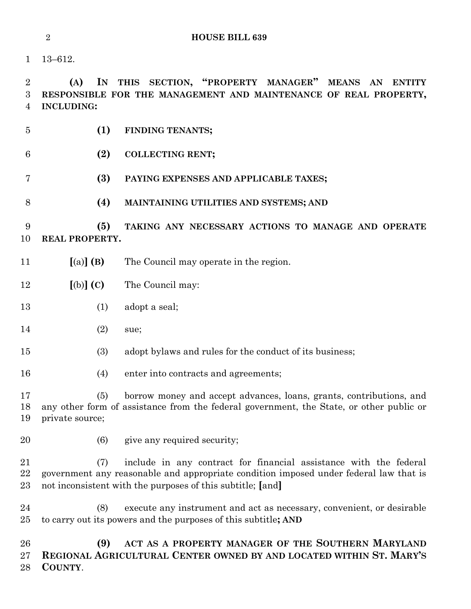13–612.

 **(A) IN THIS SECTION, "PROPERTY MANAGER" MEANS AN ENTITY RESPONSIBLE FOR THE MANAGEMENT AND MAINTENANCE OF REAL PROPERTY, INCLUDING:**

- **(1) FINDING TENANTS;**
- **(2) COLLECTING RENT;**
- **(3) PAYING EXPENSES AND APPLICABLE TAXES;**
- **(4) MAINTAINING UTILITIES AND SYSTEMS; AND**

 **(5) TAKING ANY NECESSARY ACTIONS TO MANAGE AND OPERATE REAL PROPERTY.**

- **[**(a)**] (B)** The Council may operate in the region.
- **[**(b)**] (C)** The Council may:
- 13 (1) adopt a seal;
- 14 (2) sue;
- (3) adopt bylaws and rules for the conduct of its business;
- (4) enter into contracts and agreements;

 (5) borrow money and accept advances, loans, grants, contributions, and any other form of assistance from the federal government, the State, or other public or private source;

20 (6) give any required security;

 (7) include in any contract for financial assistance with the federal government any reasonable and appropriate condition imposed under federal law that is not inconsistent with the purposes of this subtitle; **[**and**]**

 (8) execute any instrument and act as necessary, convenient, or desirable to carry out its powers and the purposes of this subtitle**; AND**

 **(9) ACT AS A PROPERTY MANAGER OF THE SOUTHERN MARYLAND REGIONAL AGRICULTURAL CENTER OWNED BY AND LOCATED WITHIN ST. MARY'S COUNTY**.